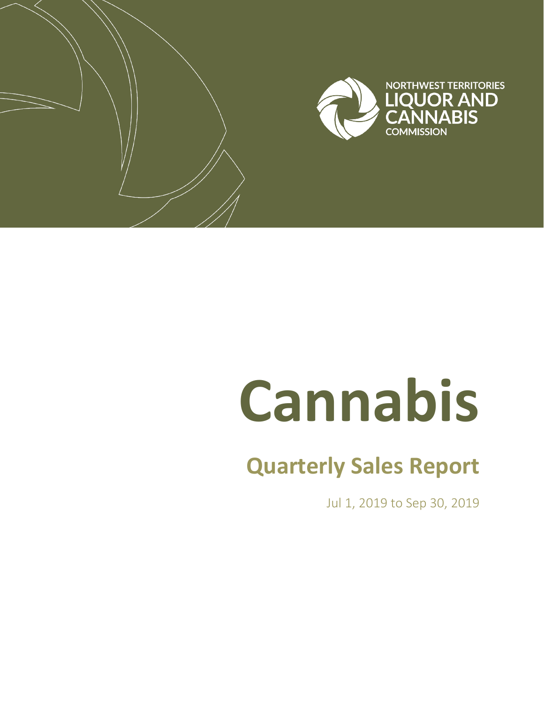

# **Cannabis**

# **Quarterly Sales Report**

Jul 1, 2019 to Sep 30, 2019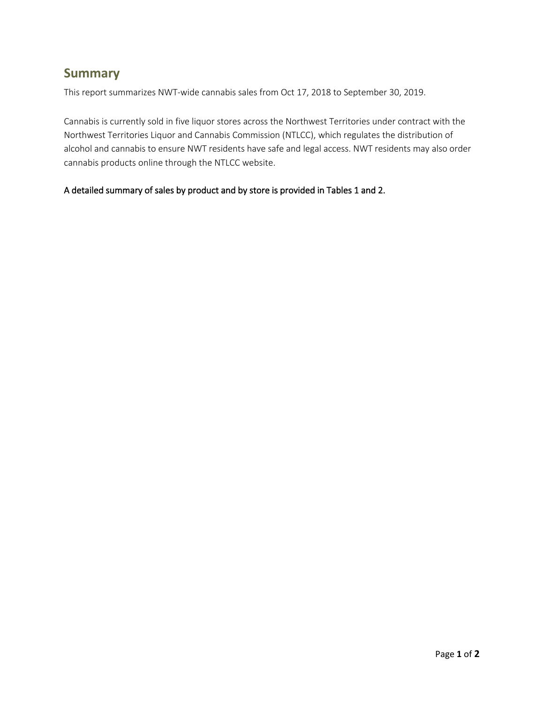### **Summary**

This report summarizes NWT-wide cannabis sales from Oct 17, 2018 to September 30, 2019.

Cannabis is currently sold in five liquor stores across the Northwest Territories under contract with the Northwest Territories Liquor and Cannabis Commission (NTLCC), which regulates the distribution of alcohol and cannabis to ensure NWT residents have safe and legal access. NWT residents may also order cannabis products online through the NTLCC website.

#### A detailed summary of sales by product and by store is provided in Tables 1 and 2.